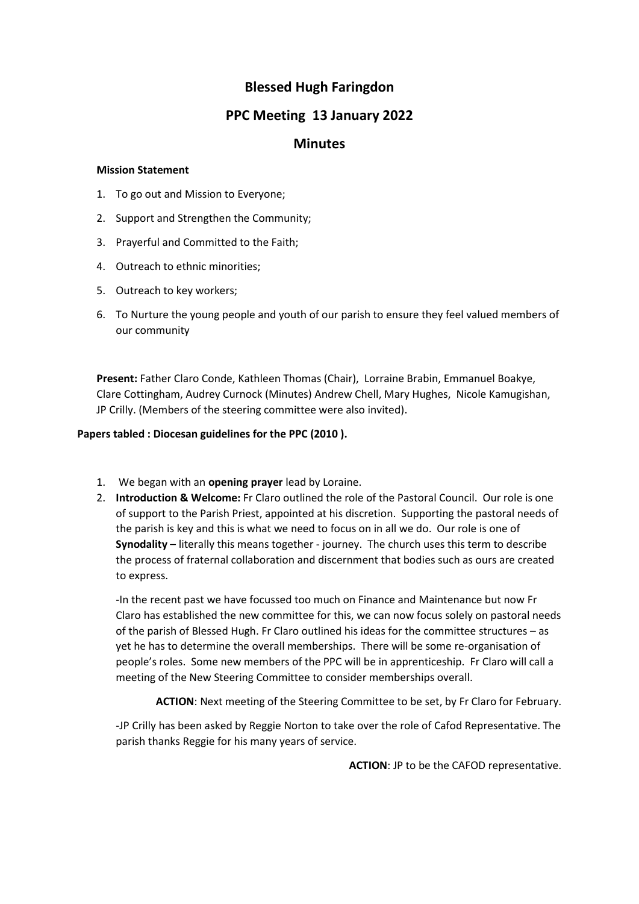# **Blessed Hugh Faringdon**

## **PPC Meeting 13 January 2022**

## **Minutes**

#### **Mission Statement**

- 1. To go out and Mission to Everyone;
- 2. Support and Strengthen the Community;
- 3. Prayerful and Committed to the Faith;
- 4. Outreach to ethnic minorities;
- 5. Outreach to key workers;
- 6. To Nurture the young people and youth of our parish to ensure they feel valued members of our community

**Present:** Father Claro Conde, Kathleen Thomas (Chair), Lorraine Brabin, Emmanuel Boakye, Clare Cottingham, Audrey Curnock (Minutes) Andrew Chell, Mary Hughes, Nicole Kamugishan, JP Crilly. (Members of the steering committee were also invited).

### **Papers tabled : Diocesan guidelines for the PPC (2010 ).**

- 1. We began with an **opening prayer** lead by Loraine.
- 2. **Introduction & Welcome:** Fr Claro outlined the role of the Pastoral Council. Our role is one of support to the Parish Priest, appointed at his discretion. Supporting the pastoral needs of the parish is key and this is what we need to focus on in all we do. Our role is one of **Synodality** – literally this means together - journey. The church uses this term to describe the process of fraternal collaboration and discernment that bodies such as ours are created to express.

-In the recent past we have focussed too much on Finance and Maintenance but now Fr Claro has established the new committee for this, we can now focus solely on pastoral needs of the parish of Blessed Hugh. Fr Claro outlined his ideas for the committee structures – as yet he has to determine the overall memberships. There will be some re-organisation of people's roles. Some new members of the PPC will be in apprenticeship. Fr Claro will call a meeting of the New Steering Committee to consider memberships overall.

**ACTION**: Next meeting of the Steering Committee to be set, by Fr Claro for February.

-JP Crilly has been asked by Reggie Norton to take over the role of Cafod Representative. The parish thanks Reggie for his many years of service.

**ACTION**: JP to be the CAFOD representative.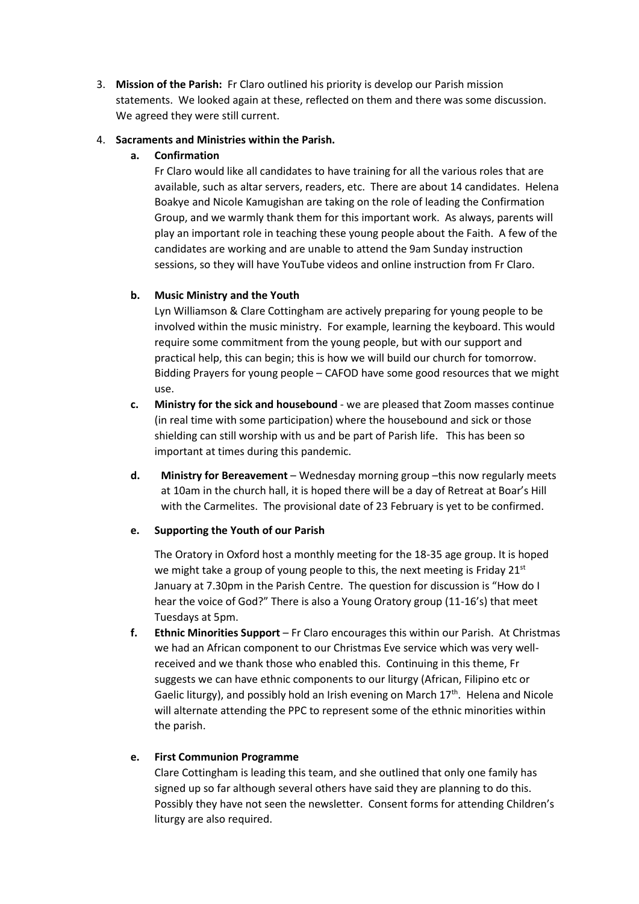3. **Mission of the Parish:** Fr Claro outlined his priority is develop our Parish mission statements. We looked again at these, reflected on them and there was some discussion. We agreed they were still current.

#### 4. **Sacraments and Ministries within the Parish.**

#### **a. Confirmation**

Fr Claro would like all candidates to have training for all the various roles that are available, such as altar servers, readers, etc. There are about 14 candidates. Helena Boakye and Nicole Kamugishan are taking on the role of leading the Confirmation Group, and we warmly thank them for this important work. As always, parents will play an important role in teaching these young people about the Faith. A few of the candidates are working and are unable to attend the 9am Sunday instruction sessions, so they will have YouTube videos and online instruction from Fr Claro.

#### **b. Music Ministry and the Youth**

Lyn Williamson & Clare Cottingham are actively preparing for young people to be involved within the music ministry. For example, learning the keyboard. This would require some commitment from the young people, but with our support and practical help, this can begin; this is how we will build our church for tomorrow. Bidding Prayers for young people – CAFOD have some good resources that we might use.

- **c. Ministry for the sick and housebound** we are pleased that Zoom masses continue (in real time with some participation) where the housebound and sick or those shielding can still worship with us and be part of Parish life. This has been so important at times during this pandemic.
- **d. Ministry for Bereavement** Wednesday morning group –this now regularly meets at 10am in the church hall, it is hoped there will be a day of Retreat at Boar's Hill with the Carmelites. The provisional date of 23 February is yet to be confirmed.

#### **e. Supporting the Youth of our Parish**

The Oratory in Oxford host a monthly meeting for the 18-35 age group. It is hoped we might take a group of young people to this, the next meeting is Friday 21<sup>st</sup> January at 7.30pm in the Parish Centre. The question for discussion is "How do I hear the voice of God?" There is also a Young Oratory group (11-16's) that meet Tuesdays at 5pm.

**f. Ethnic Minorities Support** – Fr Claro encourages this within our Parish. At Christmas we had an African component to our Christmas Eve service which was very wellreceived and we thank those who enabled this. Continuing in this theme, Fr suggests we can have ethnic components to our liturgy (African, Filipino etc or Gaelic liturgy), and possibly hold an Irish evening on March  $17<sup>th</sup>$ . Helena and Nicole will alternate attending the PPC to represent some of the ethnic minorities within the parish.

### **e. First Communion Programme**

Clare Cottingham is leading this team, and she outlined that only one family has signed up so far although several others have said they are planning to do this. Possibly they have not seen the newsletter. Consent forms for attending Children's liturgy are also required.